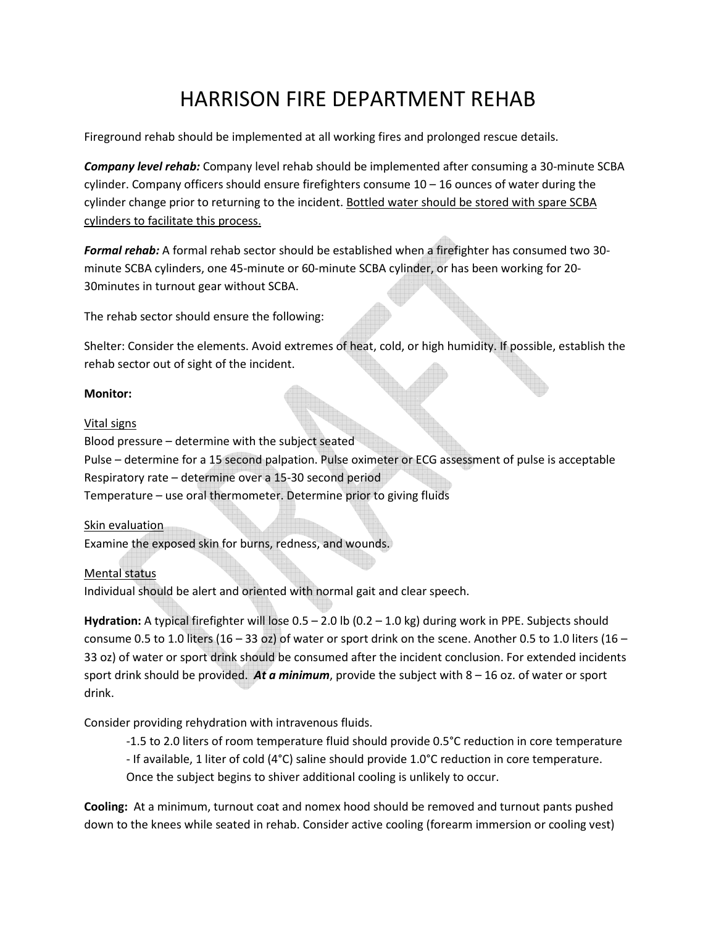# HARRISON FIRE DEPARTMENT REHAB

Fireground rehab should be implemented at all working fires and prolonged rescue details.

Company level rehab: Company level rehab should be implemented after consuming a 30-minute SCBA cylinder. Company officers should ensure firefighters consume  $10 - 16$  ounces of water during the cylinder change prior to returning to the incident. Bottled water should be stored with spare SCBA cylinders to facilitate this process.

Formal rehab: A formal rehab sector should be established when a firefighter has consumed two 30minute SCBA cylinders, one 45-minute or 60-minute SCBA cylinder, or has been working for 20- 30minutes in turnout gear without SCBA.

The rehab sector should ensure the following:

Shelter: Consider the elements. Avoid extremes of heat, cold, or high humidity. If possible, establish the rehab sector out of sight of the incident.

#### Monitor:

#### Vital signs

Blood pressure – determine with the subject seated

Pulse – determine for a 15 second palpation. Pulse oximeter or ECG assessment of pulse is acceptable Respiratory rate – determine over a 15-30 second period

Temperature – use oral thermometer. Determine prior to giving fluids

#### Skin evaluation

Examine the exposed skin for burns, redness, and wounds.

## Mental status

Individual should be alert and oriented with normal gait and clear speech.

Hydration: A typical firefighter will lose  $0.5 - 2.0$  lb  $(0.2 - 1.0$  kg) during work in PPE. Subjects should consume 0.5 to 1.0 liters (16 – 33 oz) of water or sport drink on the scene. Another 0.5 to 1.0 liters (16 – 33 oz) of water or sport drink should be consumed after the incident conclusion. For extended incidents sport drink should be provided. At a minimum, provide the subject with  $8 - 16$  oz. of water or sport drink.

Consider providing rehydration with intravenous fluids.

-1.5 to 2.0 liters of room temperature fluid should provide 0.5°C reduction in core temperature

- If available, 1 liter of cold (4°C) saline should provide 1.0°C reduction in core temperature. Once the subject begins to shiver additional cooling is unlikely to occur.

Cooling: At a minimum, turnout coat and nomex hood should be removed and turnout pants pushed down to the knees while seated in rehab. Consider active cooling (forearm immersion or cooling vest)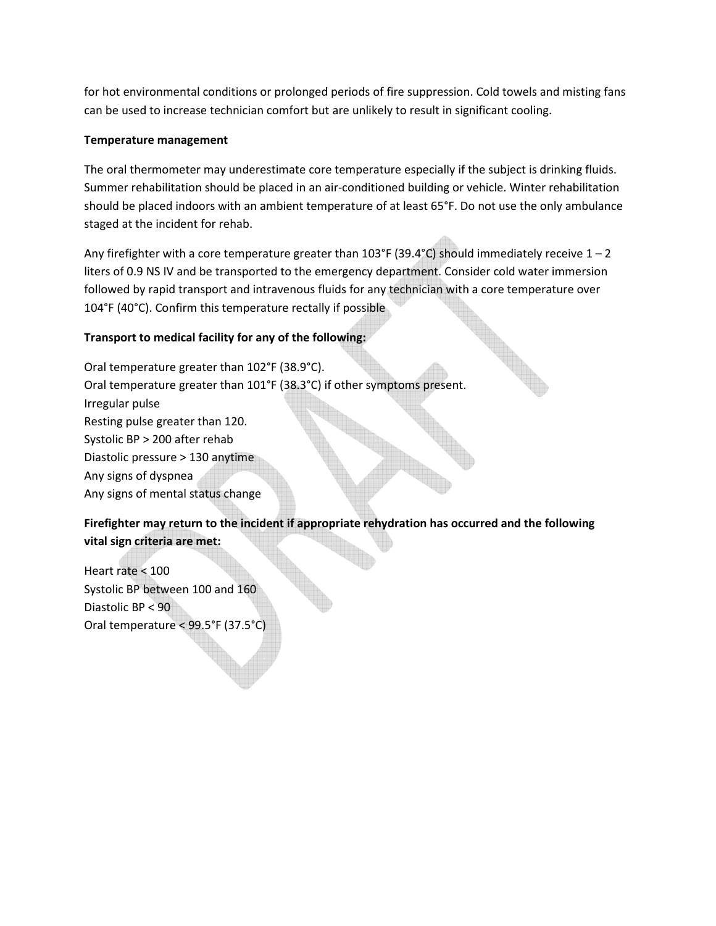for hot environmental conditions or prolonged periods of fire suppression. Cold towels and misting fans can be used to increase technician comfort but are unlikely to result in significant cooling.

#### Temperature management

The oral thermometer may underestimate core temperature especially if the subject is drinking fluids. Summer rehabilitation should be placed in an air-conditioned building or vehicle. Winter rehabilitation should be placed indoors with an ambient temperature of at least 65°F. Do not use the only ambulance staged at the incident for rehab.

Any firefighter with a core temperature greater than  $103^{\circ}F(39.4^{\circ}C)$  should immediately receive  $1 - 2$ liters of 0.9 NS IV and be transported to the emergency department. Consider cold water immersion followed by rapid transport and intravenous fluids for any technician with a core temperature over 104°F (40°C). Confirm this temperature rectally if possible

## Transport to medical facility for any of the following:

Oral temperature greater than 102°F (38.9°C). Oral temperature greater than 101°F (38.3°C) if other symptoms present. Irregular pulse Resting pulse greater than 120. Systolic BP > 200 after rehab Diastolic pressure > 130 anytime Any signs of dyspnea Any signs of mental status change

## Firefighter may return to the incident if appropriate rehydration has occurred and the following vital sign criteria are met:

Heart rate < 100 Systolic BP between 100 and 160 Diastolic BP < 90 Oral temperature < 99.5°F (37.5°C)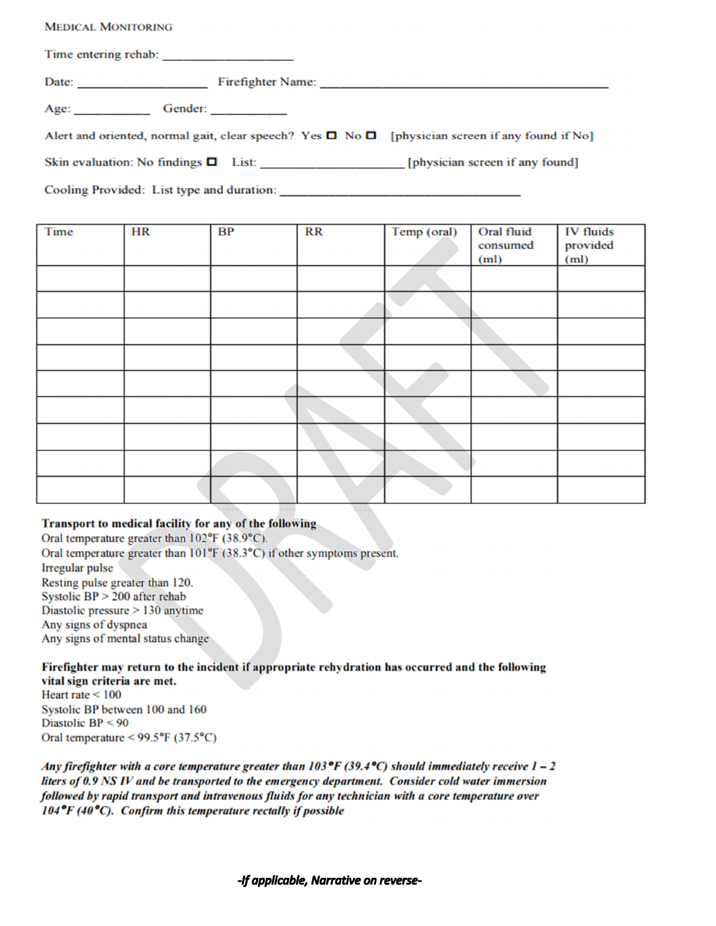#### **MEDICAL MONITORING**

| Time entering rehab:                                                                                   |                                                                                                           |
|--------------------------------------------------------------------------------------------------------|-----------------------------------------------------------------------------------------------------------|
|                                                                                                        |                                                                                                           |
|                                                                                                        |                                                                                                           |
|                                                                                                        | Alert and oriented, normal gait, clear speech? Yes $\Box$ No $\Box$ [physician screen if any found if No] |
| Skin evaluation: No findings $\Box$ List: ____________________________ [physician screen if any found] |                                                                                                           |
|                                                                                                        |                                                                                                           |

| Time | <b>HR</b> | BP | RR | Temp (oral) | <b>Oral fluid</b><br>consumed<br>(m <sub>l</sub> ) | <b>IV</b> fluids<br>provided<br>(m <sub>l</sub> ) |
|------|-----------|----|----|-------------|----------------------------------------------------|---------------------------------------------------|
|      |           |    |    |             |                                                    |                                                   |
|      |           |    |    |             |                                                    |                                                   |
|      |           |    |    |             |                                                    |                                                   |
|      |           |    |    |             |                                                    |                                                   |
|      |           |    |    |             |                                                    |                                                   |
|      |           |    |    |             |                                                    |                                                   |
|      |           |    |    |             |                                                    |                                                   |
|      |           |    |    |             |                                                    |                                                   |
|      |           |    |    |             |                                                    |                                                   |

#### Transport to medical facility for any of the following

Oral temperature greater than  $102^{\circ}$ F (38.9°C). Oral temperature greater than 101°F (38.3°C) if other symptoms present. Irregular pulse Resting pulse greater than 120. Systolic  $BP > 200$  after rehab Diastolic pressure > 130 anytime Any signs of dyspnea Any signs of mental status change

Firefighter may return to the incident if appropriate rehydration has occurred and the following vital sign criteria are met. Heart rate  $\leq 100$ Systolic BP between 100 and 160 Diastolic  $BP < 90$ Oral temperature  $\leq$  99.5°F (37.5°C)

Any firefighter with a core temperature greater than  $103^{\circ}F(39.4^{\circ}C)$  should immediately receive  $1 - 2$ liters of 0.9 NS IV and be transported to the emergency department. Consider cold water immersion followed by rapid transport and intravenous fluids for any technician with a core temperature over 104°F (40°C). Confirm this temperature rectally if possible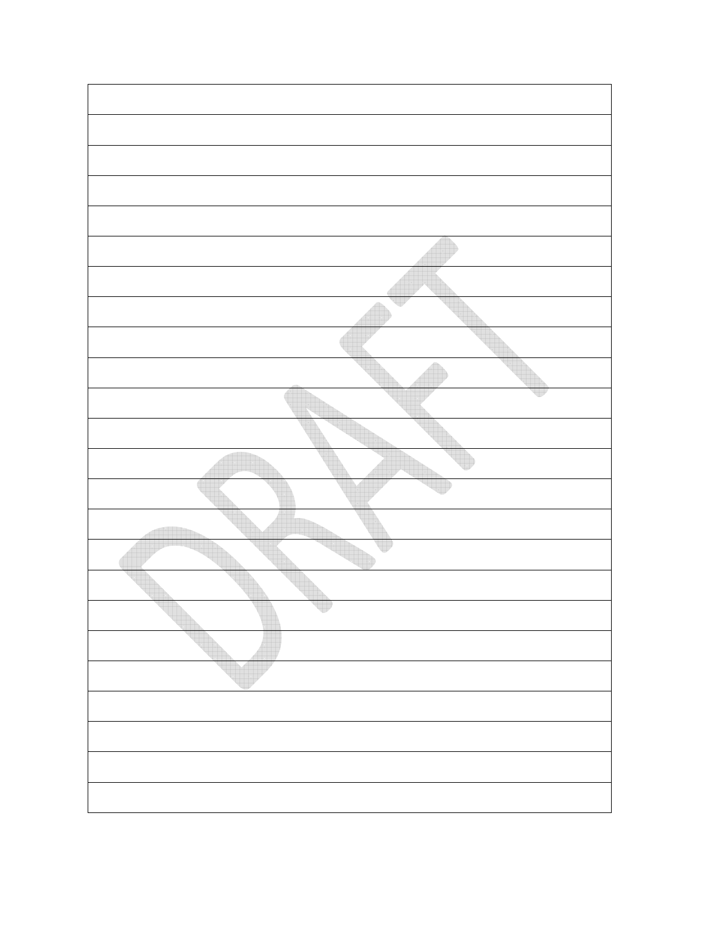